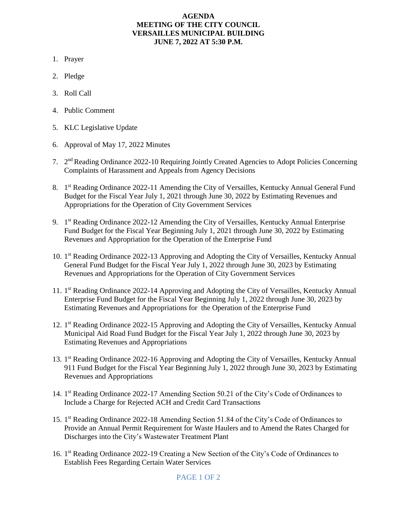## **AGENDA MEETING OF THE CITY COUNCIL VERSAILLES MUNICIPAL BUILDING JUNE 7, 2022 AT 5:30 P.M.**

- 1. Prayer
- 2. Pledge
- 3. Roll Call
- 4. Public Comment
- 5. KLC Legislative Update
- 6. Approval of May 17, 2022 Minutes
- 7. 2<sup>nd</sup> Reading Ordinance 2022-10 Requiring Jointly Created Agencies to Adopt Policies Concerning Complaints of Harassment and Appeals from Agency Decisions
- 8. 1<sup>st</sup> Reading Ordinance 2022-11 Amending the City of Versailles, Kentucky Annual General Fund Budget for the Fiscal Year July 1, 2021 through June 30, 2022 by Estimating Revenues and Appropriations for the Operation of City Government Services
- 9. 1<sup>st</sup> Reading Ordinance 2022-12 Amending the City of Versailles, Kentucky Annual Enterprise Fund Budget for the Fiscal Year Beginning July 1, 2021 through June 30, 2022 by Estimating Revenues and Appropriation for the Operation of the Enterprise Fund
- 10. 1<sup>st</sup> Reading Ordinance 2022-13 Approving and Adopting the City of Versailles, Kentucky Annual General Fund Budget for the Fiscal Year July 1, 2022 through June 30, 2023 by Estimating Revenues and Appropriations for the Operation of City Government Services
- 11. 1<sup>st</sup> Reading Ordinance 2022-14 Approving and Adopting the City of Versailles, Kentucky Annual Enterprise Fund Budget for the Fiscal Year Beginning July 1, 2022 through June 30, 2023 by Estimating Revenues and Appropriations for the Operation of the Enterprise Fund
- 12. 1<sup>st</sup> Reading Ordinance 2022-15 Approving and Adopting the City of Versailles, Kentucky Annual Municipal Aid Road Fund Budget for the Fiscal Year July 1, 2022 through June 30, 2023 by Estimating Revenues and Appropriations
- 13. 1<sup>st</sup> Reading Ordinance 2022-16 Approving and Adopting the City of Versailles, Kentucky Annual 911 Fund Budget for the Fiscal Year Beginning July 1, 2022 through June 30, 2023 by Estimating Revenues and Appropriations
- 14. 1<sup>st</sup> Reading Ordinance 2022-17 Amending Section 50.21 of the City's Code of Ordinances to Include a Charge for Rejected ACH and Credit Card Transactions
- 15. 1<sup>st</sup> Reading Ordinance 2022-18 Amending Section 51.84 of the City's Code of Ordinances to Provide an Annual Permit Requirement for Waste Haulers and to Amend the Rates Charged for Discharges into the City's Wastewater Treatment Plant
- 16. 1<sup>st</sup> Reading Ordinance 2022-19 Creating a New Section of the City's Code of Ordinances to Establish Fees Regarding Certain Water Services